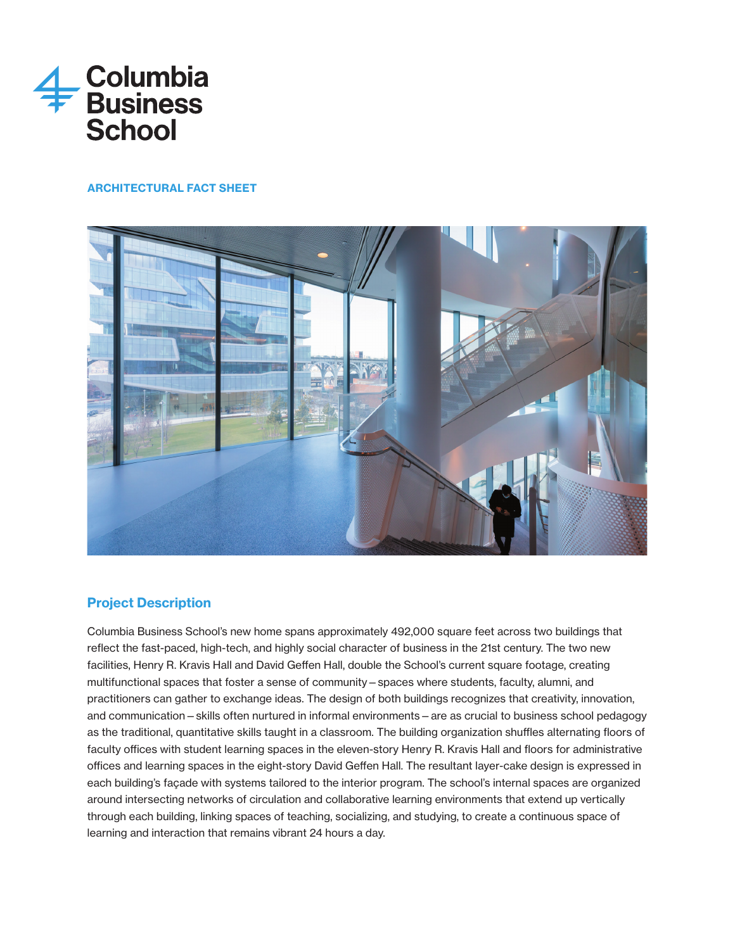

# ARCHITECTURAL FACT SHEET



# Project Description

Columbia Business School's new home spans approximately 492,000 square feet across two buildings that reflect the fast-paced, high-tech, and highly social character of business in the 21st century. The two new facilities, Henry R. Kravis Hall and David Geffen Hall, double the School's current square footage, creating multifunctional spaces that foster a sense of community—spaces where students, faculty, alumni, and practitioners can gather to exchange ideas. The design of both buildings recognizes that creativity, innovation, and communication—skills often nurtured in informal environments—are as crucial to business school pedagogy as the traditional, quantitative skills taught in a classroom. The building organization shuffles alternating floors of faculty offices with student learning spaces in the eleven-story Henry R. Kravis Hall and floors for administrative offices and learning spaces in the eight-story David Geffen Hall. The resultant layer-cake design is expressed in each building's façade with systems tailored to the interior program. The school's internal spaces are organized around intersecting networks of circulation and collaborative learning environments that extend up vertically through each building, linking spaces of teaching, socializing, and studying, to create a continuous space of learning and interaction that remains vibrant 24 hours a day.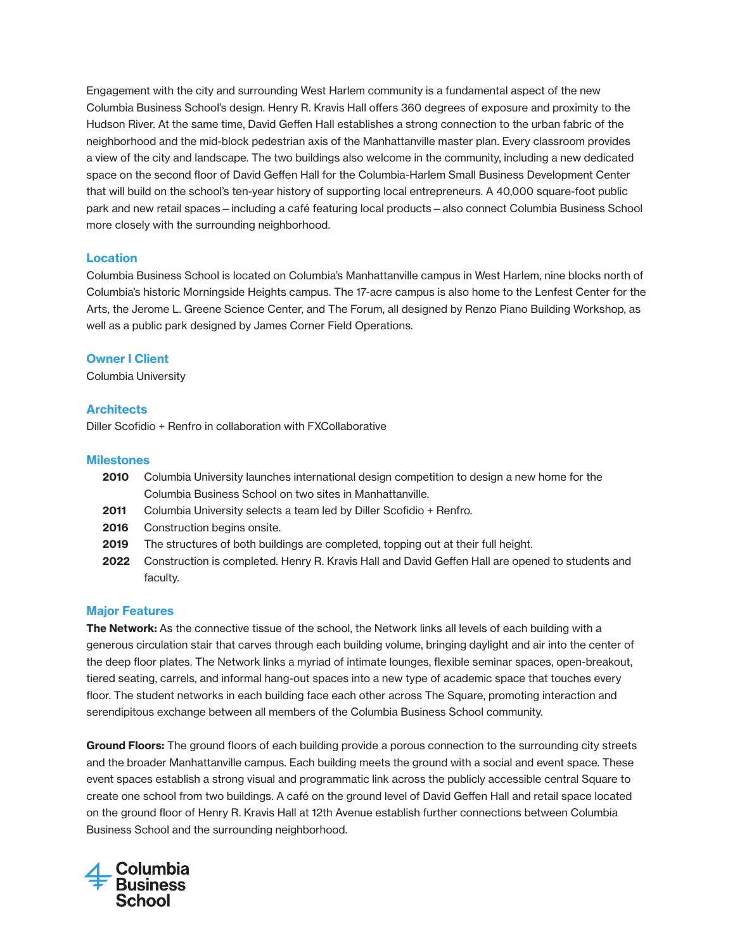Engagement with the city and surrounding West Harlem community is a fundamental aspect of the new Columbia Business School's design. Henry R. Kravis Hall offers 360 degrees of exposure and proximity to the Hudson River. At the same time, David Geffen Hall establishes a strong connection to the urban fabric of the neighborhood and the mid-block pedestrian axis of the Manhattanville master plan. Every classroom provides a view of the city and landscape. The two buildings also welcome in the community, including a new dedicated space on the second floor of David Geffen Hall for the Columbia-Harlem Small Business Development Center that will build on the school's ten-year history of supporting local entrepreneurs. A 40,000 square-foot public park and new retail spaces—including a café featuring local products—also connect Columbia Business School more closely with the surrounding neighborhood.

#### **Location**

Columbia Business School is located on Columbia's Manhattanville campus in West Harlem, nine blocks north of Columbia's historic Morningside Heights campus. The 17-acre campus is also home to the Lenfest Center for the Arts, the Jerome L. Greene Science Center, and The Forum, all designed by Renzo Piano Building Workshop, as well as a public park designed by James Corner Field Operations.

#### Owner I Client

Columbia University

#### **Architects**

Diller Scofidio + Renfro in collaboration with FXCollaborative

#### **Milestones**

- 2010 Columbia University launches international design competition to design a new home for the Columbia Business School on two sites in Manhattanville.
- 2011 Columbia University selects a team led by Diller Scofidio + Renfro.
- 2016 Construction begins onsite.
- 2019 The structures of both buildings are completed, topping out at their full height.
- 2022 Construction is completed. Henry R. Kravis Hall and David Geffen Hall are opened to students and faculty.

#### Major Features

The Network: As the connective tissue of the school, the Network links all levels of each building with a generous circulation stair that carves through each building volume, bringing daylight and air into the center of the deep floor plates. The Network links a myriad of intimate lounges, flexible seminar spaces, open-breakout, tiered seating, carrels, and informal hang-out spaces into a new type of academic space that touches every floor. The student networks in each building face each other across The Square, promoting interaction and serendipitous exchange between all members of the Columbia Business School community.

Ground Floors: The ground floors of each building provide a porous connection to the surrounding city streets and the broader Manhattanville campus. Each building meets the ground with a social and event space. These event spaces establish a strong visual and programmatic link across the publicly accessible central Square to create one school from two buildings. A café on the ground level of David Geffen Hall and retail space located on the ground floor of Henry R. Kravis Hall at 12th Avenue establish further connections between Columbia Business School and the surrounding neighborhood.

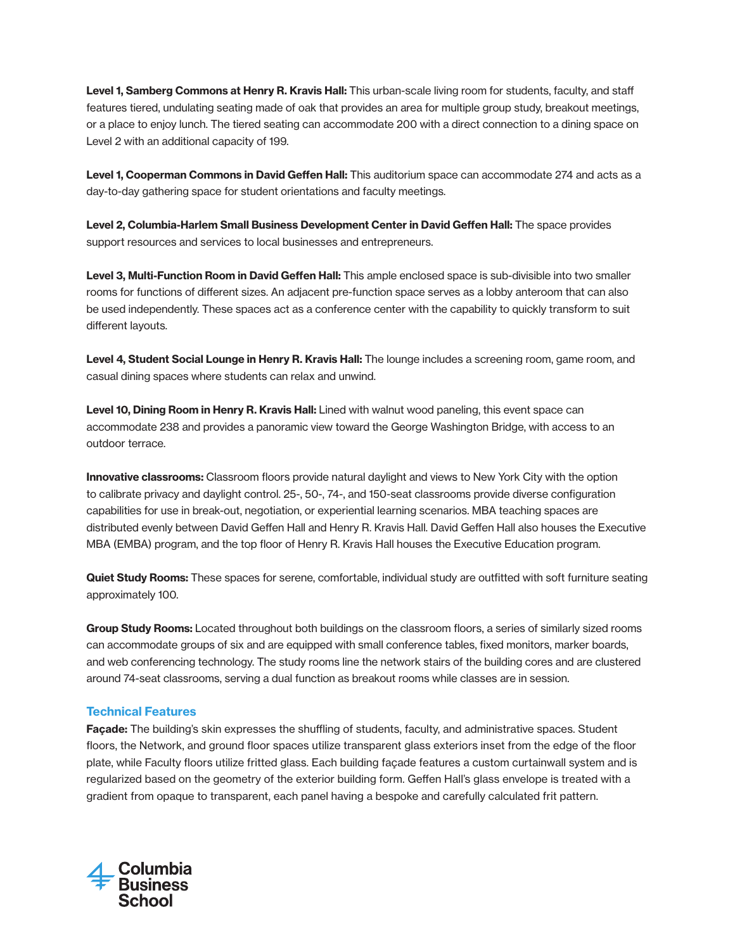Level 1, Samberg Commons at Henry R. Kravis Hall: This urban-scale living room for students, faculty, and staff features tiered, undulating seating made of oak that provides an area for multiple group study, breakout meetings, or a place to enjoy lunch. The tiered seating can accommodate 200 with a direct connection to a dining space on Level 2 with an additional capacity of 199.

Level 1, Cooperman Commons in David Geffen Hall: This auditorium space can accommodate 274 and acts as a day-to-day gathering space for student orientations and faculty meetings.

Level 2, Columbia-Harlem Small Business Development Center in David Geffen Hall: The space provides support resources and services to local businesses and entrepreneurs.

Level 3, Multi-Function Room in David Geffen Hall: This ample enclosed space is sub-divisible into two smaller rooms for functions of different sizes. An adjacent pre-function space serves as a lobby anteroom that can also be used independently. These spaces act as a conference center with the capability to quickly transform to suit different layouts.

Level 4, Student Social Lounge in Henry R. Kravis Hall: The lounge includes a screening room, game room, and casual dining spaces where students can relax and unwind.

Level 10, Dining Room in Henry R. Kravis Hall: Lined with walnut wood paneling, this event space can accommodate 238 and provides a panoramic view toward the George Washington Bridge, with access to an outdoor terrace.

**Innovative classrooms:** Classroom floors provide natural daylight and views to New York City with the option to calibrate privacy and daylight control. 25-, 50-, 74-, and 150-seat classrooms provide diverse configuration capabilities for use in break-out, negotiation, or experiential learning scenarios. MBA teaching spaces are distributed evenly between David Geffen Hall and Henry R. Kravis Hall. David Geffen Hall also houses the Executive MBA (EMBA) program, and the top floor of Henry R. Kravis Hall houses the Executive Education program.

Quiet Study Rooms: These spaces for serene, comfortable, individual study are outfitted with soft furniture seating approximately 100.

Group Study Rooms: Located throughout both buildings on the classroom floors, a series of similarly sized rooms can accommodate groups of six and are equipped with small conference tables, fixed monitors, marker boards, and web conferencing technology. The study rooms line the network stairs of the building cores and are clustered around 74-seat classrooms, serving a dual function as breakout rooms while classes are in session.

### Technical Features

Façade: The building's skin expresses the shuffling of students, faculty, and administrative spaces. Student floors, the Network, and ground floor spaces utilize transparent glass exteriors inset from the edge of the floor plate, while Faculty floors utilize fritted glass. Each building façade features a custom curtainwall system and is regularized based on the geometry of the exterior building form. Geffen Hall's glass envelope is treated with a gradient from opaque to transparent, each panel having a bespoke and carefully calculated frit pattern.